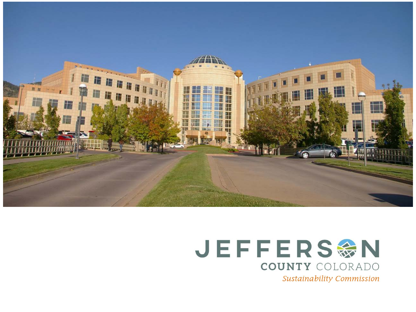



Sustainability Commission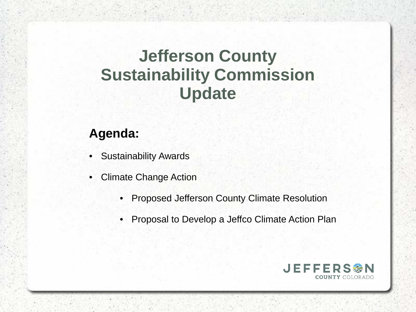## **Jefferson County Sustainability Commission Update**

### **Agenda:**

- **Sustainability Awards**
- Climate Change Action
	- Proposed Jefferson County Climate Resolution
	- Proposal to Develop a Jeffco Climate Action Plan

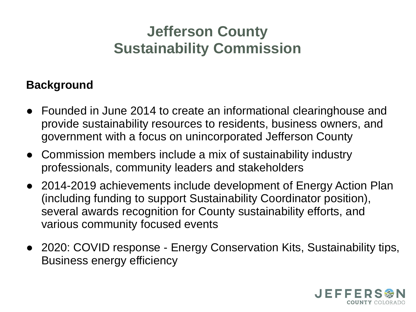## **Jefferson County Sustainability Commission**

#### **Background**

- Founded in June 2014 to create an informational clearinghouse and provide sustainability resources to residents, business owners, and government with a focus on unincorporated Jefferson County
- Commission members include a mix of sustainability industry professionals, community leaders and stakeholders
- 2014-2019 achievements include development of Energy Action Plan (including funding to support Sustainability Coordinator position), several awards recognition for County sustainability efforts, and various community focused events
- 2020: COVID response Energy Conservation Kits, Sustainability tips, Business energy efficiency

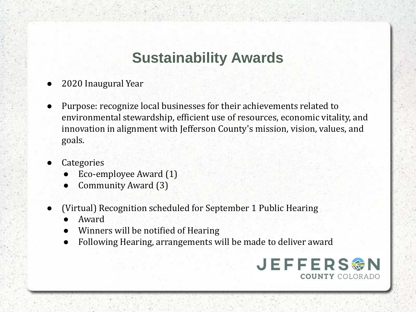## **Sustainability Awards**

- 2020 Inaugural Year
- Purpose: recognize local businesses for their achievements related to environmental stewardship, efficient use of resources, economic vitality, and innovation in alignment with Jefferson County's mission, vision, values, and goals.
- **Categories** 
	- Eco-employee Award (1)
	- Community Award (3)
- (Virtual) Recognition scheduled for September 1 Public Hearing
	- Award
	- Winners will be notified of Hearing
	- Following Hearing, arrangements will be made to deliver award

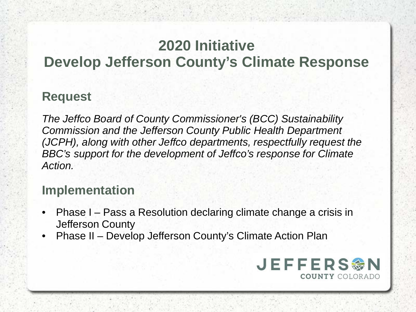## **2020 Initiative**

### **Develop Jefferson County's Climate Response**

#### **Request**

*The Jeffco Board of County Commissioner's (BCC) Sustainability Commission and the Jefferson County Public Health Department (JCPH), along with other Jeffco departments, respectfully request the BBC's support for the development of Jeffco's response for Climate Action.*

### **Implementation**

- Phase I Pass a Resolution declaring climate change a crisis in Jefferson County
- Phase II Develop Jefferson County's Climate Action Plan

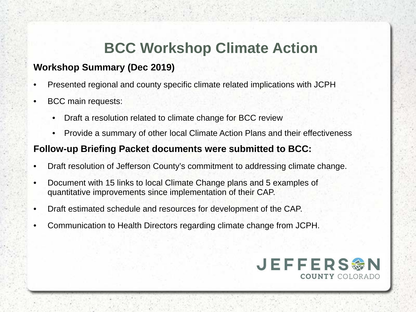## **BCC Workshop Climate Action**

#### **Workshop Summary (Dec 2019)**

- Presented regional and county specific climate related implications with JCPH
- BCC main requests:
	- Draft a resolution related to climate change for BCC review
	- Provide a summary of other local Climate Action Plans and their effectiveness

#### **Follow-up Briefing Packet documents were submitted to BCC:**

- Draft resolution of Jefferson County's commitment to addressing climate change.
- Document with 15 links to local Climate Change plans and 5 examples of quantitative improvements since implementation of their CAP.
- Draft estimated schedule and resources for development of the CAP.
- Communication to Health Directors regarding climate change from JCPH.

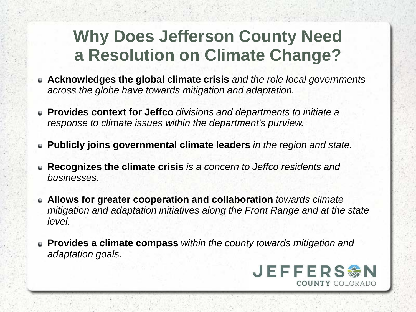## **Why Does Jefferson County Need a Resolution on Climate Change?**

- **Acknowledges the global climate crisis** *and the role local governments across the globe have towards mitigation and adaptation.*
- **Provides context for Jeffco** *divisions and departments to initiate a response to climate issues within the department's purview.*
- **Publicly joins governmental climate leaders** *in the region and state.*
- **Recognizes the climate crisis** *is a concern to Jeffco residents and businesses.*
- **Allows for greater cooperation and collaboration** *towards climate mitigation and adaptation initiatives along the Front Range and at the state level.*
- **Provides a climate compass** *within the county towards mitigation and adaptation goals.*

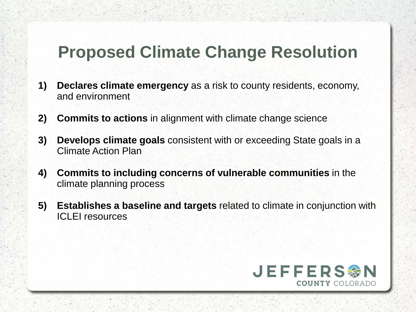## **Proposed Climate Change Resolution**

- **1) Declares climate emergency** as a risk to county residents, economy, and environment
- **2) Commits to actions** in alignment with climate change science
- **3) Develops climate goals** consistent with or exceeding State goals in a Climate Action Plan
- **4) Commits to including concerns of vulnerable communities** in the climate planning process
- **5) Establishes a baseline and targets** related to climate in conjunction with ICLEI resources

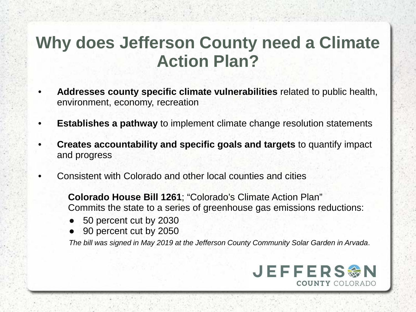## **Why does Jefferson County need a Climate Action Plan?**

- **Addresses county specific climate vulnerabilities** related to public health, environment, economy, recreation
- **Establishes a pathway** to implement climate change resolution statements
- **Creates accountability and specific goals and targets** to quantify impact and progress
- Consistent with Colorado and other local counties and cities

**Colorado House Bill 1261**; "Colorado's Climate Action Plan" Commits the state to a series of greenhouse gas emissions reductions:

- 50 percent cut by 2030
- 90 percent cut by 2050

*The bill was signed in May 2019 at the Jefferson County Community Solar Garden in Arvada*.

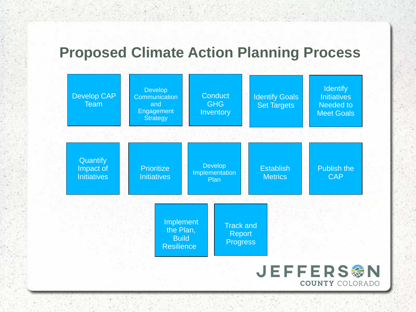## **Proposed Climate Action Planning Process**

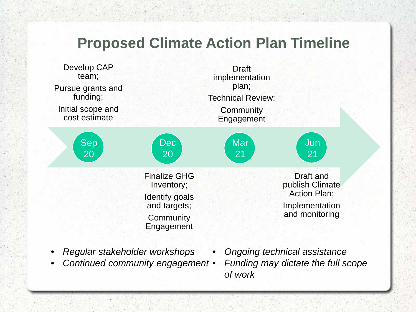### **Proposed Climate Action Plan Timeline**



- *Regular stakeholder workshops*
- *Continued community engagement*
- *Ongoing technical assistance* • *Funding may dictate the full scope of work*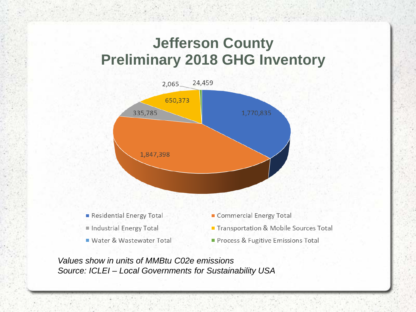## **Jefferson County Preliminary 2018 GHG Inventory**



*Values show in units of MMBtu C02e emissions Source: ICLEI – Local Governments for Sustainability USA*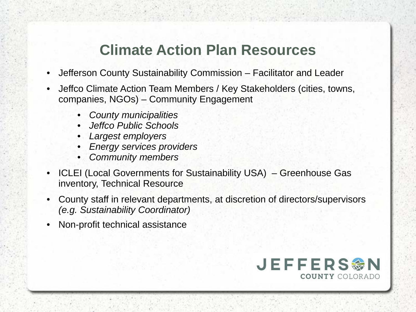## **Climate Action Plan Resources**

- Jefferson County Sustainability Commission Facilitator and Leader
- Jeffco Climate Action Team Members / Key Stakeholders (cities, towns, companies, NGOs) – Community Engagement
	- *County municipalities*
	- *Jeffco Public Schools*
	- *Largest employers*
	- *Energy services providers*
	- *Community members*
- ICLEI (Local Governments for Sustainability USA) Greenhouse Gas inventory, Technical Resource
- County staff in relevant departments, at discretion of directors/supervisors *(e.g. Sustainability Coordinator)*
- Non-profit technical assistance

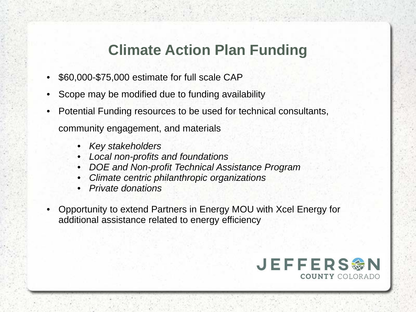## **Climate Action Plan Funding**

- \$60,000-\$75,000 estimate for full scale CAP
- Scope may be modified due to funding availability
- Potential Funding resources to be used for technical consultants, community engagement, and materials
	- *Key stakeholders*
	- *Local non-profits and foundations*
	- *DOE and Non-profit Technical Assistance Program*
	- *Climate centric philanthropic organizations*
	- *Private donations*
- Opportunity to extend Partners in Energy MOU with Xcel Energy for additional assistance related to energy efficiency

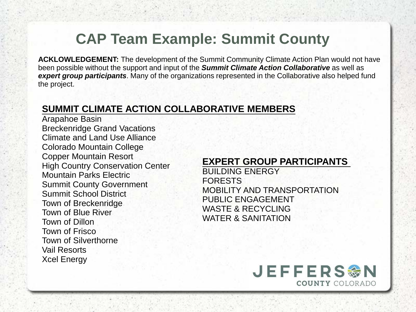## **CAP Team Example: Summit County**

**ACKLOWLEDGEMENT:** The development of the Summit Community Climate Action Plan would not have been possible without the support and input of the *Summit Climate Action Collaborative* as well as *expert group participants*. Many of the organizations represented in the Collaborative also helped fund the project.

#### **SUMMIT CLIMATE ACTION COLLABORATIVE MEMBERS**

Arapahoe Basin Breckenridge Grand Vacations Climate and Land Use Alliance Colorado Mountain College Copper Mountain Resort High Country Conservation Center Mountain Parks Electric Summit County Government Summit School District Town of Breckenridge Town of Blue River Town of Dillon Town of Frisco Town of Silverthorne Vail Resorts Xcel Energy

#### **EXPERT GROUP PARTICIPANTS**

BUILDING ENERGY FORESTS MOBILITY AND TRANSPORTATION PUBLIC ENGAGEMENT WASTE & RECYCLING WATER & SANITATION